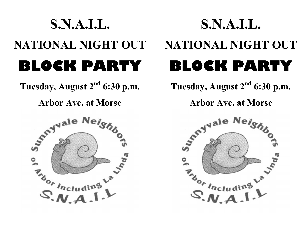## S.N.A.I.L. NATIONAL NIGHT OUT BLOCK PARTY

Tuesday, August  $2<sup>nd</sup>$  6:30 p.m.

Arbor Ave. at Morse



## S.N.A.I.L. NATIONAL NIGHT OUT BLOCK PARTY

Tuesday, August 2<sup>nd</sup> 6:30 p.m.

Arbor Ave. at Morse